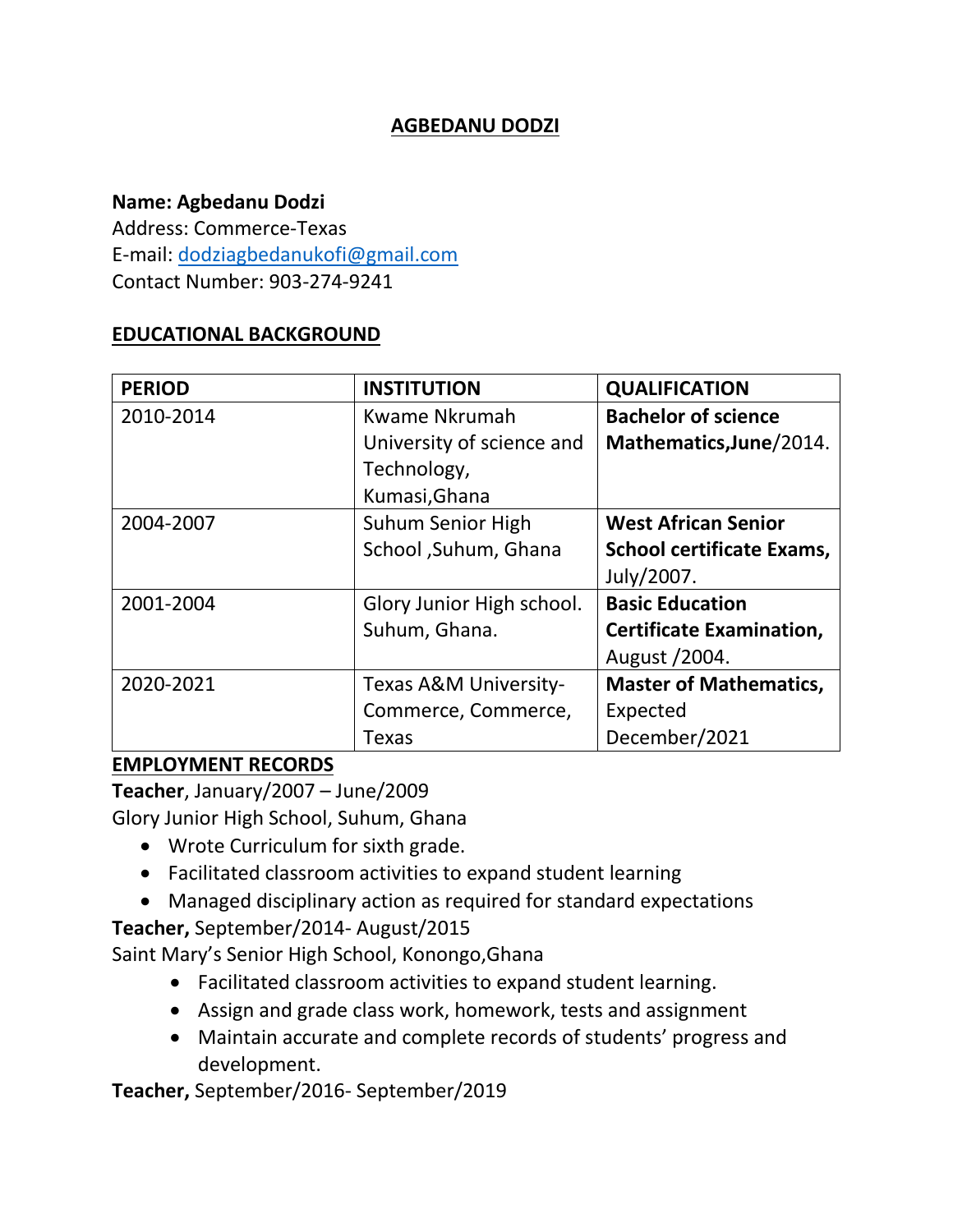### **AGBEDANU DODZI**

#### **Name: Agbedanu Dodzi**

Address: Commerce-Texas E-mail: [dodziagbedanukofi@gmail.com](mailto:dodziagbedanukofi@gmail.com) Contact Number: 903-274-9241

#### **EDUCATIONAL BACKGROUND**

| <b>PERIOD</b> | <b>INSTITUTION</b>        | <b>QUALIFICATION</b>             |
|---------------|---------------------------|----------------------------------|
| 2010-2014     | Kwame Nkrumah             | <b>Bachelor of science</b>       |
|               | University of science and | Mathematics, June/2014.          |
|               | Technology,               |                                  |
|               | Kumasi, Ghana             |                                  |
| 2004-2007     | <b>Suhum Senior High</b>  | <b>West African Senior</b>       |
|               | School , Suhum, Ghana     | <b>School certificate Exams,</b> |
|               |                           | July/2007.                       |
| 2001-2004     | Glory Junior High school. | <b>Basic Education</b>           |
|               | Suhum, Ghana.             | <b>Certificate Examination,</b>  |
|               |                           | August /2004.                    |
| 2020-2021     | Texas A&M University-     | <b>Master of Mathematics,</b>    |
|               | Commerce, Commerce,       | Expected                         |
|               | Texas                     | December/2021                    |

#### **EMPLOYMENT RECORDS**

**Teacher**, January/2007 – June/2009 Glory Junior High School, Suhum, Ghana

- Wrote Curriculum for sixth grade.
- Facilitated classroom activities to expand student learning
- Managed disciplinary action as required for standard expectations

**Teacher,** September/2014- August/2015

Saint Mary's Senior High School, Konongo,Ghana

- Facilitated classroom activities to expand student learning.
- Assign and grade class work, homework, tests and assignment
- Maintain accurate and complete records of students' progress and development.

**Teacher,** September/2016- September/2019